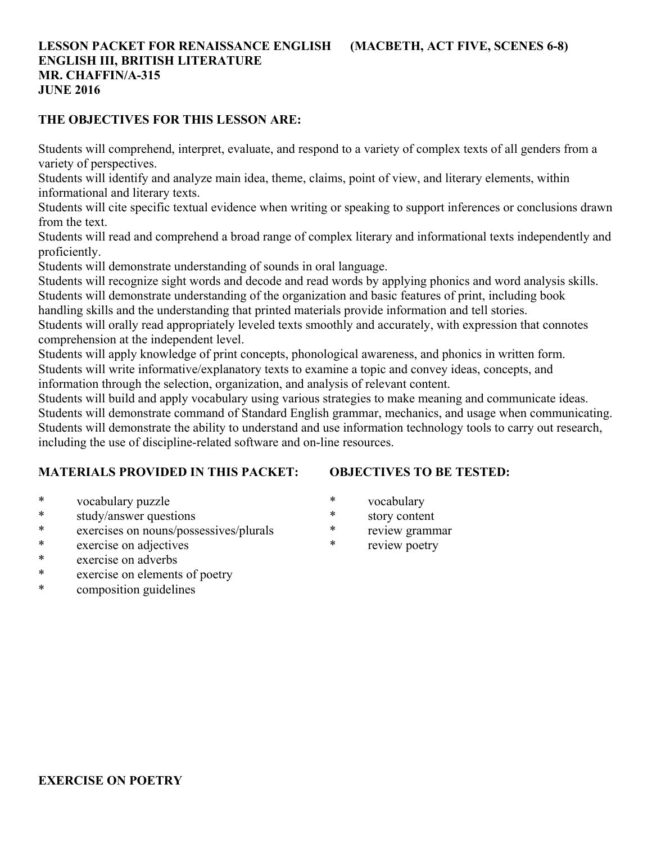## **LESSON PACKET FOR RENAISSANCE ENGLISH (MACBETH, ACT FIVE, SCENES 6-8) ENGLISH III, BRITISH LITERATURE MR. CHAFFIN/A-315 JUNE 2016**

#### **THE OBJECTIVES FOR THIS LESSON ARE:**

Students will comprehend, interpret, evaluate, and respond to a variety of complex texts of all genders from a variety of perspectives.

Students will identify and analyze main idea, theme, claims, point of view, and literary elements, within informational and literary texts.

Students will cite specific textual evidence when writing or speaking to support inferences or conclusions drawn from the text.

Students will read and comprehend a broad range of complex literary and informational texts independently and proficiently.

Students will demonstrate understanding of sounds in oral language.

Students will recognize sight words and decode and read words by applying phonics and word analysis skills. Students will demonstrate understanding of the organization and basic features of print, including book

handling skills and the understanding that printed materials provide information and tell stories.

Students will orally read appropriately leveled texts smoothly and accurately, with expression that connotes comprehension at the independent level.

Students will apply knowledge of print concepts, phonological awareness, and phonics in written form. Students will write informative/explanatory texts to examine a topic and convey ideas, concepts, and information through the selection, organization, and analysis of relevant content.

Students will build and apply vocabulary using various strategies to make meaning and communicate ideas. Students will demonstrate command of Standard English grammar, mechanics, and usage when communicating. Students will demonstrate the ability to understand and use information technology tools to carry out research, including the use of discipline-related software and on-line resources.

### **MATERIALS PROVIDED IN THIS PACKET:**

**OBJECTIVES TO BE TESTED:**

- \* vocabulary puzzle
- \* study/answer questions
- \* exercises on nouns/possessives/plurals
- \* exercise on adjectives
- \* exercise on adverbs
- \* exercise on elements of poetry
- \* composition guidelines
- \* vocabulary
- \* story content
- \* review grammar
- review poetry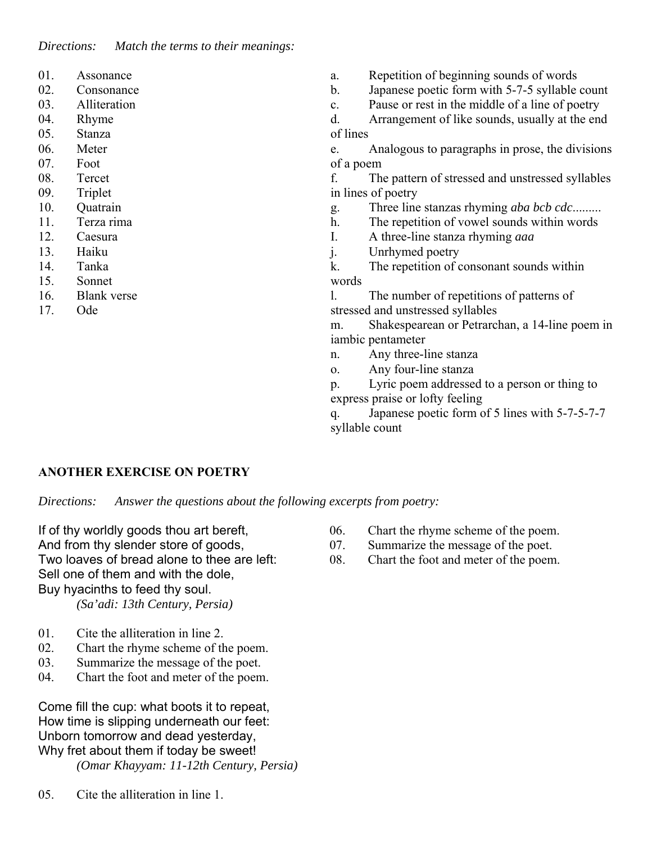*Directions: Match the terms to their meanings:*

- 01. Assonance
- 02. Consonance
- 03. Alliteration
- 04. Rhyme
- 05. Stanza
- 06. Meter
- 07. Foot
- 08. Tercet
- 09. Triplet
- 10. Quatrain
- 11. Terza rima
- 12. Caesura
- 13. Haiku
- 14. Tanka
- 15. Sonnet
- 16. Blank verse
- 17. Ode
- a. Repetition of beginning sounds of words
- b. Japanese poetic form with 5-7-5 syllable count
- c. Pause or rest in the middle of a line of poetry

d. Arrangement of like sounds, usually at the end of lines

e. Analogous to paragraphs in prose, the divisions of a poem

f. The pattern of stressed and unstressed syllables in lines of poetry

- g. Three line stanzas rhyming *aba bcb cdc*.........
- h. The repetition of vowel sounds within words
- I. A three-line stanza rhyming *aaa*
- j. Unrhymed poetry

k. The repetition of consonant sounds within words

l. The number of repetitions of patterns of stressed and unstressed syllables

m. Shakespearean or Petrarchan, a 14-line poem in iambic pentameter

- n. Any three-line stanza
- o. Any four-line stanza

p. Lyric poem addressed to a person or thing to express praise or lofty feeling

q. Japanese poetic form of 5 lines with 5-7-5-7-7 syllable count

### **ANOTHER EXERCISE ON POETRY**

*Directions: Answer the questions about the following excerpts from poetry:*

If of thy worldly goods thou art bereft, And from thy slender store of goods, Two loaves of bread alone to thee are left:

Sell one of them and with the dole,

Buy hyacinths to feed thy soul.

 *(Sa'adi: 13th Century, Persia)*

- 01. Cite the alliteration in line 2.
- 02. Chart the rhyme scheme of the poem.
- 03. Summarize the message of the poet.
- 04. Chart the foot and meter of the poem.

Come fill the cup: what boots it to repeat, How time is slipping underneath our feet: Unborn tomorrow and dead yesterday, Why fret about them if today be sweet!

*(Omar Khayyam: 11-12th Century, Persia)*

05. Cite the alliteration in line 1.

- 06. Chart the rhyme scheme of the poem.
- 07. Summarize the message of the poet.
- 08. Chart the foot and meter of the poem.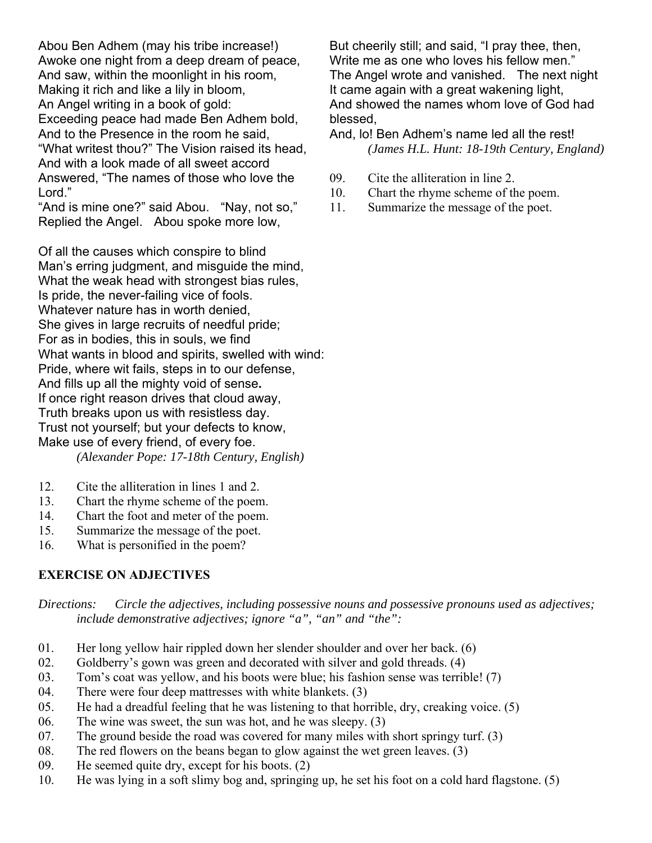Abou Ben Adhem (may his tribe increase!) Awoke one night from a deep dream of peace, And saw, within the moonlight in his room, Making it rich and like a lily in bloom, An Angel writing in a book of gold: Exceeding peace had made Ben Adhem bold, And to the Presence in the room he said, "What writest thou?" The Vision raised its head, And with a look made of all sweet accord Answered, "The names of those who love the Lord."

"And is mine one?" said Abou. "Nay, not so," Replied the Angel. Abou spoke more low,

Of all the causes which conspire to blind Man's erring judgment, and misquide the mind. What the weak head with strongest bias rules, Is pride, the never-failing vice of fools. Whatever nature has in worth denied, She gives in large recruits of needful pride; For as in bodies, this in souls, we find What wants in blood and spirits, swelled with wind: Pride, where wit fails, steps in to our defense, And fills up all the mighty void of sense**.**  If once right reason drives that cloud away, Truth breaks upon us with resistless day. Trust not yourself; but your defects to know, Make use of every friend, of every foe.  *(Alexander Pope: 17-18th Century, English)*

- 12. Cite the alliteration in lines 1 and 2.
- 13. Chart the rhyme scheme of the poem.
- 14. Chart the foot and meter of the poem.
- 15. Summarize the message of the poet.
- 16. What is personified in the poem?

### **EXERCISE ON ADJECTIVES**

*Directions: Circle the adjectives, including possessive nouns and possessive pronouns used as adjectives; include demonstrative adjectives; ignore "a", "an" and "the":*

- 01. Her long yellow hair rippled down her slender shoulder and over her back. (6)
- 02. Goldberry's gown was green and decorated with silver and gold threads. (4)
- 03. Tom's coat was yellow, and his boots were blue; his fashion sense was terrible! (7)
- 04. There were four deep mattresses with white blankets. (3)
- 05. He had a dreadful feeling that he was listening to that horrible, dry, creaking voice. (5)
- 06. The wine was sweet, the sun was hot, and he was sleepy. (3)
- 07. The ground beside the road was covered for many miles with short springy turf. (3)
- 08. The red flowers on the beans began to glow against the wet green leaves. (3)
- 09. He seemed quite dry, except for his boots. (2)
- 10. He was lying in a soft slimy bog and, springing up, he set his foot on a cold hard flagstone. (5)

But cheerily still; and said, "I pray thee, then, Write me as one who loves his fellow men." The Angel wrote and vanished. The next night It came again with a great wakening light, And showed the names whom love of God had blessed,

And, lo! Ben Adhem's name led all the rest!  *(James H.L. Hunt: 18-19th Century, England)*

- 09. Cite the alliteration in line 2.
- 10. Chart the rhyme scheme of the poem.
- 11. Summarize the message of the poet.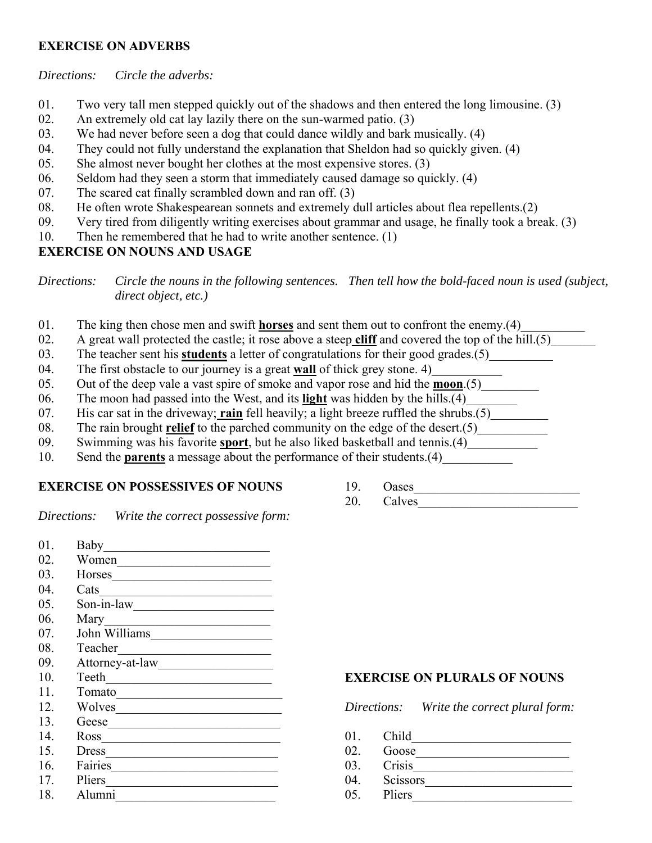## **EXERCISE ON ADVERBS**

#### *Directions: Circle the adverbs:*

- 01. Two very tall men stepped quickly out of the shadows and then entered the long limousine. (3)
- 02. An extremely old cat lay lazily there on the sun-warmed patio. (3)
- 03. We had never before seen a dog that could dance wildly and bark musically. (4)
- 04. They could not fully understand the explanation that Sheldon had so quickly given. (4)
- 05. She almost never bought her clothes at the most expensive stores. (3)
- 06. Seldom had they seen a storm that immediately caused damage so quickly. (4)
- 07. The scared cat finally scrambled down and ran off. (3)
- 08. He often wrote Shakespearean sonnets and extremely dull articles about flea repellents.(2)
- 09. Very tired from diligently writing exercises about grammar and usage, he finally took a break. (3)
- 10. Then he remembered that he had to write another sentence. (1)

## **EXERCISE ON NOUNS AND USAGE**

*Directions: Circle the nouns in the following sentences. Then tell how the bold-faced noun is used (subject, direct object, etc.)* 

- 01. The king then chose men and swift **horses** and sent them out to confront the enemy.(4)
- 02. A great wall protected the castle; it rose above a steep **cliff** and covered the top of the hill.(5)
- 03. The teacher sent his **students** a letter of congratulations for their good grades.(5)
- 04. The first obstacle to our journey is a great **wall** of thick grey stone. 4)
- 05. Out of the deep vale a vast spire of smoke and vapor rose and hid the **moon**.(5)
- 06. The moon had passed into the West, and its **light** was hidden by the hills.(4)\_\_\_\_\_\_\_\_
- 07. His car sat in the driveway; rain fell heavily; a light breeze ruffled the shrubs.(5)
- 08. The rain brought **relief** to the parched community on the edge of the desert.(5)
- 09. Swimming was his favorite **sport**, but he also liked basketball and tennis.(4)\_\_\_\_\_\_\_\_\_\_\_
- 10. Send the **parents** a message about the performance of their students.(4)

## **EXERCISE ON POSSESSIVES OF NOUNS**

19. Oases\_\_\_\_\_\_\_\_\_\_\_\_\_\_\_\_\_\_\_\_\_\_\_\_\_\_ 20. Calves

*Directions: Write the correct possessive form:*

| 01. | Baby            |
|-----|-----------------|
| 02. | Women           |
| 03. | <b>Horses</b>   |
| 04. | Cats            |
| 05. | Son-in-law      |
| 06. | Mary            |
| 07. | John Williams   |
| 08. | Teacher         |
| 09. | Attorney-at-law |
| 10. | Teeth           |
| 11. | Tomato          |
| 12. | Wolves          |
| 13. | Geese           |
| 14. | Ross            |
| 15. | Dress           |
| 16. | Fairies         |
| 17. | Pliers          |
| 18. | Alumni          |
|     |                 |

## **EXERCISE ON PLURALS OF NOUNS**

*Directions: Write the correct plural form:* 

- 01. Child
- 02. Goose\_\_\_\_\_\_\_\_\_\_\_\_\_\_\_\_\_\_\_\_\_\_\_\_
- 03. Crisis\_\_\_\_\_\_\_\_\_\_\_\_\_\_\_\_\_\_\_\_\_\_\_\_\_
- 04. Scissors\_\_\_\_\_\_\_\_\_\_\_\_\_\_\_\_\_\_\_\_\_\_\_
- $05.$  Pliers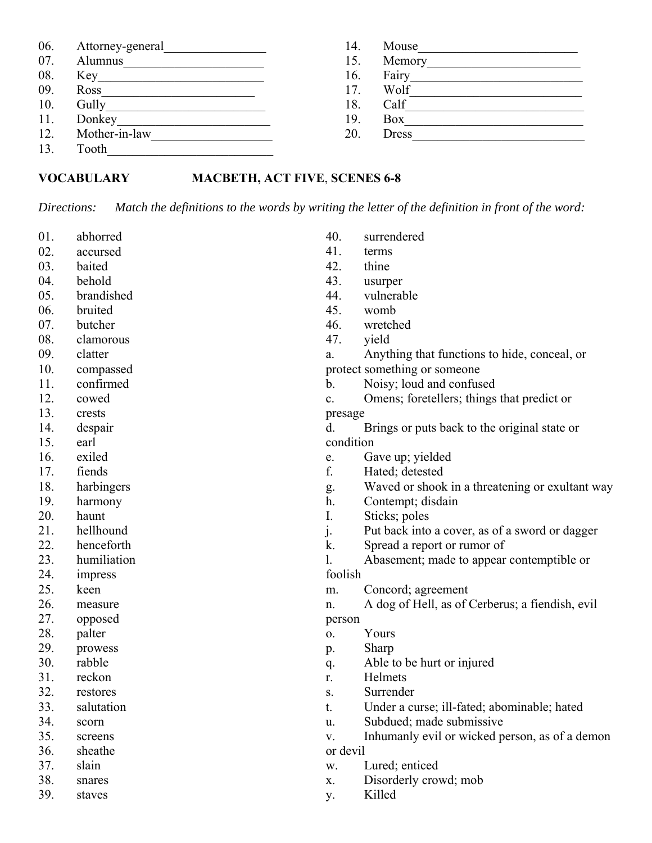| 06. | Attorney-general | 14. | Mouse        |  |
|-----|------------------|-----|--------------|--|
| 07. | Alumnus          | 15. | Memory       |  |
| 08. | Key              | 16. | Fairy        |  |
| 09. | Ross             | 17. | Wolf         |  |
| 10. | Gully            | 18. | Calf         |  |
| 11. | Donkey           | 19. | Box          |  |
| 12. | Mother-in-law    | 20. | <b>Dress</b> |  |
| 13. | Tooth            |     |              |  |

#### **VOCABULARY MACBETH, ACT FIVE**, **SCENES 6-8**

*Directions: Match the definitions to the words by writing the letter of the definition in front of the word:*

- 01. abhorred
- 02. accursed
- 03. baited
- 04. behold
- 05. brandished
- 06. bruited
- 07. butcher
- 08. clamorous
- 09. clatter
- 10. compassed
- 11. confirmed
- 12. cowed
- 13. crests
- 14. despair
- 15. earl
- 16. exiled
- 17. fiends
- 18. harbingers
- 19. harmony
- 20. haunt
- 21. hellhound
- 22. henceforth
- 23. humiliation
- 24. impress
- 25. keen
- 26. measure
- 27. opposed
- 28. palter
- 29. prowess 30. rabble
- 31. reckon
- 32. restores
- 33. salutation
- 34. scorn
- 35. screens
- 36. sheathe
- 37. slain
- 38. snares
- 39. staves
- 40. surrendered 41. terms
- 42. thine
- 43. usurper
- 44. vulnerable
- 45. womb
- 
- 46. wretched
- 47. yield
- a. Anything that functions to hide, conceal, or protect something or someone
- b. Noisy; loud and confused
- c. Omens; foretellers; things that predict or
- presage

d. Brings or puts back to the original state or condition

- e. Gave up; yielded
- f. Hated; detested
- g. Waved or shook in a threatening or exultant way
- h. Contempt; disdain
- I. Sticks; poles
- j. Put back into a cover, as of a sword or dagger
- k. Spread a report or rumor of
- l. Abasement; made to appear contemptible or
- foolish
- m. Concord; agreement
- n. A dog of Hell, as of Cerberus; a fiendish, evil person
- o. Yours
- p. Sharp
- q. Able to be hurt or injured
- r. Helmets
- s. Surrender
- t. Under a curse; ill-fated; abominable; hated
- u. Subdued; made submissive
- v. Inhumanly evil or wicked person, as of a demon
- or devil
- w. Lured; enticed
- x. Disorderly crowd; mob
- y. Killed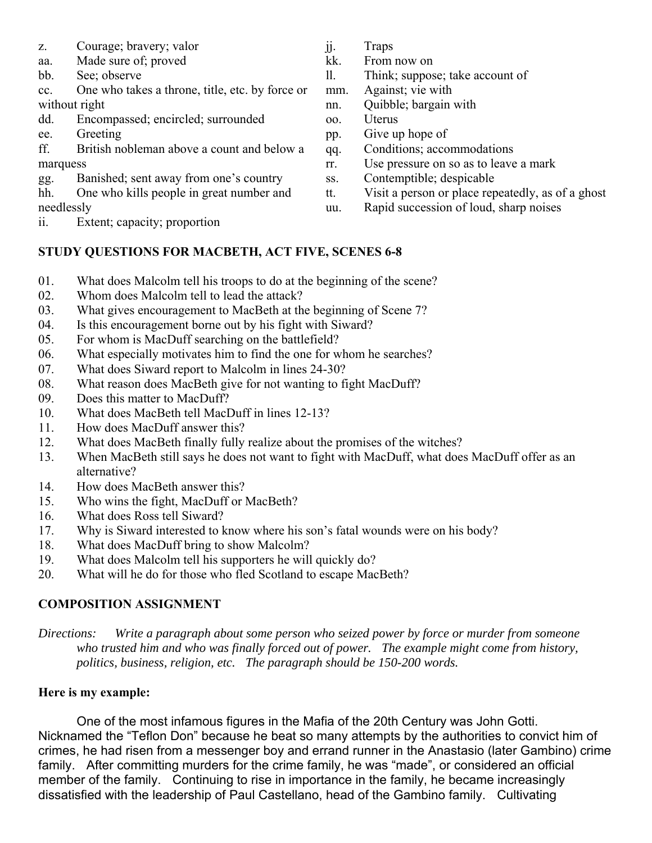- z. Courage; bravery; valor
- aa. Made sure of; proved
- bb. See; observe
- cc. One who takes a throne, title, etc. by force or without right
- dd. Encompassed; encircled; surrounded
- ee. Greeting
- ff. British nobleman above a count and below a marquess
- gg. Banished; sent away from one's country
- hh. One who kills people in great number and
- needlessly
- ii. Extent; capacity; proportion
- jj. Traps
- kk. From now on
- ll. Think; suppose; take account of
- mm. Against; vie with
- nn. Quibble; bargain with
- oo. Uterus
- pp. Give up hope of
- qq. Conditions; accommodations
- rr. Use pressure on so as to leave a mark
- ss. Contemptible; despicable
- tt. Visit a person or place repeatedly, as of a ghost
- uu. Rapid succession of loud, sharp noises

# **STUDY QUESTIONS FOR MACBETH, ACT FIVE, SCENES 6-8**

- 01. What does Malcolm tell his troops to do at the beginning of the scene?
- 02. Whom does Malcolm tell to lead the attack?
- 03. What gives encouragement to MacBeth at the beginning of Scene 7?
- 04. Is this encouragement borne out by his fight with Siward?
- 05. For whom is MacDuff searching on the battlefield?
- 06. What especially motivates him to find the one for whom he searches?
- 07. What does Siward report to Malcolm in lines 24-30?
- 08. What reason does MacBeth give for not wanting to fight MacDuff?
- 09. Does this matter to MacDuff?
- 10. What does MacBeth tell MacDuff in lines 12-13?
- 11. How does MacDuff answer this?
- 12. What does MacBeth finally fully realize about the promises of the witches?
- 13. When MacBeth still says he does not want to fight with MacDuff, what does MacDuff offer as an alternative?
- 14. How does MacBeth answer this?
- 15. Who wins the fight, MacDuff or MacBeth?
- 16. What does Ross tell Siward?
- 17. Why is Siward interested to know where his son's fatal wounds were on his body?
- 18. What does MacDuff bring to show Malcolm?
- 19. What does Malcolm tell his supporters he will quickly do?
- 20. What will he do for those who fled Scotland to escape MacBeth?

## **COMPOSITION ASSIGNMENT**

*Directions: Write a paragraph about some person who seized power by force or murder from someone who trusted him and who was finally forced out of power. The example might come from history, politics, business, religion, etc. The paragraph should be 150-200 words.*

## **Here is my example:**

One of the most infamous figures in the Mafia of the 20th Century was John Gotti. Nicknamed the "Teflon Don" because he beat so many attempts by the authorities to convict him of crimes, he had risen from a messenger boy and errand runner in the Anastasio (later Gambino) crime family. After committing murders for the crime family, he was "made", or considered an official member of the family. Continuing to rise in importance in the family, he became increasingly dissatisfied with the leadership of Paul Castellano, head of the Gambino family. Cultivating